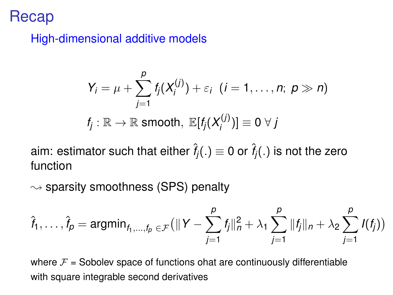## Recap

High-dimensional additive models

$$
Y_i = \mu + \sum_{j=1}^p f_j(X_i^{(j)}) + \varepsilon_i \quad (i = 1, \ldots, n; \ p \gg n)
$$
  

$$
f_j : \mathbb{R} \to \mathbb{R} \text{ smooth}, \ \mathbb{E}[f_j(X_j^{(j)})] \equiv 0 \ \forall \ j
$$

aim: estimator such that either  $\hat{f}_i(.) \equiv 0$  or  $\hat{f}_i(.)$  is not the zero function

 $\rightsquigarrow$  sparsity smoothness (SPS) penalty

$$
\hat{f}_1, \ldots, \hat{f}_p = \mathrm{argmin}_{f_1, \ldots, f_p} \in \mathcal{F} \Big( \| Y - \sum_{j=1}^p f_j \|_n^2 + \lambda_1 \sum_{j=1}^p \| f_j \|_n + \lambda_2 \sum_{j=1}^p I(f_j) \Big)
$$

where  $F =$  Sobolev space of functions ohat are continuously differentiable with square integrable second derivatives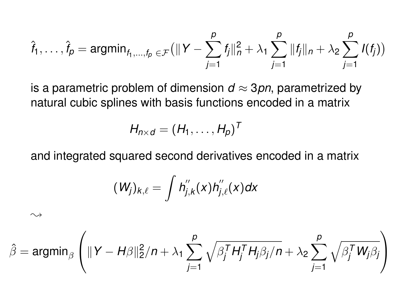$$
\hat{f}_1, \ldots, \hat{f}_p = \mathrm{argmin}_{f_1, \ldots, f_p} \exp\left( ||Y - \sum_{j=1}^p f_j||_n^2 + \lambda_1 \sum_{j=1}^p ||f_j||_n + \lambda_2 \sum_{j=1}^p I(f_j)\right)
$$

is a parametric problem of dimension  $d \approx 3$ *pn*, parametrized by natural cubic splines with basis functions encoded in a matrix

$$
H_{n \times d} = (H_1, \ldots, H_p)^T
$$

and integrated squared second derivatives encoded in a matrix

$$
(W_j)_{k,\ell} = \int h_{j,k}^{''}(x)h_{j,\ell}^{''}(x)dx
$$

 $\rightsquigarrow$ 

$$
\hat{\beta} = \operatorname{argmin}_{\beta} \left( \|Y - H\beta\|_2^2 / n + \lambda_1 \sum_{j=1}^p \sqrt{\beta_j^T H_j^T H_j \beta_j / n} + \lambda_2 \sum_{j=1}^p \sqrt{\beta_j^T W_j \beta_j} \right)
$$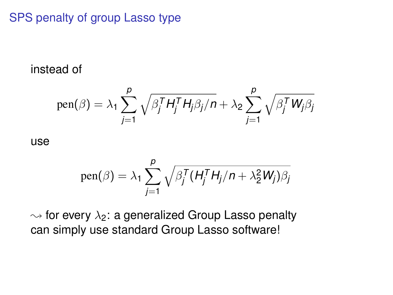## SPS penalty of group Lasso type

instead of

pen(
$$
\beta
$$
) =  $\lambda_1 \sum_{j=1}^p \sqrt{\beta_j^T H_j^T H_j \beta_j / n} + \lambda_2 \sum_{j=1}^p \sqrt{\beta_j^T W_j \beta_j}$ 

use

pen(
$$
\beta
$$
) =  $\lambda_1 \sum_{j=1}^{p} \sqrt{\beta_j^T (H_j^T H_j / n + \lambda_2^2 W_j) \beta_j}$ 

 $\rightsquigarrow$  for every  $\lambda_2$ : a generalized Group Lasso penalty can simply use standard Group Lasso software!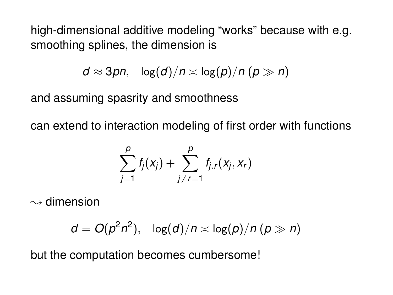high-dimensional additive modeling "works" because with e.g. smoothing splines, the dimension is

$$
d \approx 3pn, \quad \log(d)/n \asymp \log(p)/n \ (p \gg n)
$$

and assuming spasrity and smoothness

can extend to interaction modeling of first order with functions

$$
\sum_{j=1}^p f_j(x_j) + \sum_{j\neq r=1}^p f_{j.r}(x_j,x_r)
$$

 $\rightsquigarrow$  dimension

$$
d = O(p^2 n^2), \quad \log(d)/n \asymp \log(p)/n \ (p \gg n)
$$

but the computation becomes cumbersome!